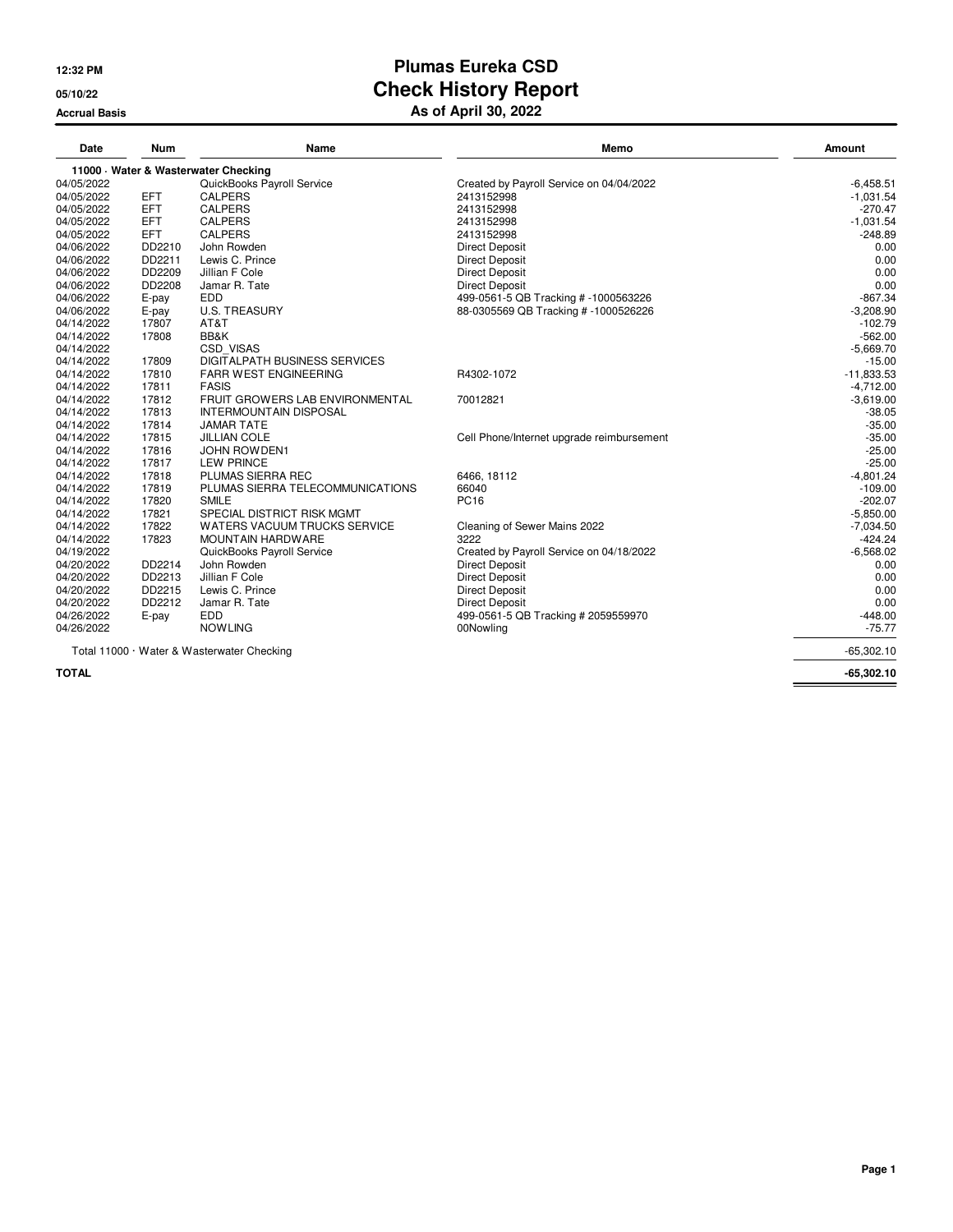### **12:32 PM Plumas Eureka CSD 05/10/22 Check History Report Accrual Basis As of April 30, 2022**

| Date       | <b>Num</b> | Name                                       | Memo                                      | Amount       |
|------------|------------|--------------------------------------------|-------------------------------------------|--------------|
|            |            | 11000 · Water & Wasterwater Checking       |                                           |              |
| 04/05/2022 |            | QuickBooks Payroll Service                 | Created by Payroll Service on 04/04/2022  | $-6,458.51$  |
| 04/05/2022 | <b>EFT</b> | <b>CALPERS</b>                             | 2413152998                                | $-1,031.54$  |
| 04/05/2022 | <b>EFT</b> | <b>CALPERS</b>                             | 2413152998                                | $-270.47$    |
| 04/05/2022 | <b>EFT</b> | <b>CALPERS</b>                             | 2413152998                                | $-1,031.54$  |
| 04/05/2022 | <b>EFT</b> | <b>CALPERS</b>                             | 2413152998                                | $-248.89$    |
| 04/06/2022 | DD2210     | John Rowden                                | <b>Direct Deposit</b>                     | 0.00         |
| 04/06/2022 | DD2211     | Lewis C. Prince                            | <b>Direct Deposit</b>                     | 0.00         |
| 04/06/2022 | DD2209     | Jillian F Cole                             | <b>Direct Deposit</b>                     | 0.00         |
| 04/06/2022 | DD2208     | Jamar R. Tate                              | <b>Direct Deposit</b>                     | 0.00         |
| 04/06/2022 | E-pay      | <b>EDD</b>                                 | 499-0561-5 QB Tracking #-1000563226       | $-867.34$    |
| 04/06/2022 | E-pay      | <b>U.S. TREASURY</b>                       | 88-0305569 QB Tracking # -1000526226      | $-3,208.90$  |
| 04/14/2022 | 17807      | AT&T                                       |                                           | $-102.79$    |
| 04/14/2022 | 17808      | BB&K                                       |                                           | $-562.00$    |
| 04/14/2022 |            | <b>CSD VISAS</b>                           |                                           | $-5,669.70$  |
| 04/14/2022 | 17809      | <b>DIGITALPATH BUSINESS SERVICES</b>       |                                           | $-15.00$     |
| 04/14/2022 | 17810      | <b>FARR WEST ENGINEERING</b>               | R4302-1072                                | $-11,833.53$ |
| 04/14/2022 | 17811      | <b>FASIS</b>                               |                                           | $-4,712.00$  |
| 04/14/2022 | 17812      | FRUIT GROWERS LAB ENVIRONMENTAL            | 70012821                                  | $-3,619.00$  |
| 04/14/2022 | 17813      | <b>INTERMOUNTAIN DISPOSAL</b>              |                                           | $-38.05$     |
| 04/14/2022 | 17814      | <b>JAMAR TATE</b>                          |                                           | $-35.00$     |
| 04/14/2022 | 17815      | <b>JILLIAN COLE</b>                        | Cell Phone/Internet upgrade reimbursement | $-35.00$     |
| 04/14/2022 | 17816      | JOHN ROWDEN1                               |                                           | $-25.00$     |
| 04/14/2022 | 17817      | <b>LEW PRINCE</b>                          |                                           | $-25.00$     |
| 04/14/2022 | 17818      | PLUMAS SIERRA REC                          | 6466, 18112                               | $-4,801.24$  |
| 04/14/2022 | 17819      | PLUMAS SIERRA TELECOMMUNICATIONS           | 66040                                     | $-109.00$    |
| 04/14/2022 | 17820      | <b>SMILE</b>                               | <b>PC16</b>                               | $-202.07$    |
| 04/14/2022 | 17821      | SPECIAL DISTRICT RISK MGMT                 |                                           | $-5,850.00$  |
| 04/14/2022 | 17822      | WATERS VACUUM TRUCKS SERVICE               | Cleaning of Sewer Mains 2022              | $-7,034.50$  |
| 04/14/2022 | 17823      | <b>MOUNTAIN HARDWARE</b>                   | 3222                                      | $-424.24$    |
| 04/19/2022 |            | QuickBooks Payroll Service                 | Created by Payroll Service on 04/18/2022  | $-6,568.02$  |
| 04/20/2022 | DD2214     | John Rowden                                | <b>Direct Deposit</b>                     | 0.00         |
| 04/20/2022 | DD2213     | Jillian F Cole                             | <b>Direct Deposit</b>                     | 0.00         |
| 04/20/2022 | DD2215     | Lewis C. Prince                            | <b>Direct Deposit</b>                     | 0.00         |
| 04/20/2022 | DD2212     | Jamar R. Tate                              | <b>Direct Deposit</b>                     | 0.00         |
| 04/26/2022 | E-pay      | EDD                                        | 499-0561-5 QB Tracking # 2059559970       | $-448.00$    |
| 04/26/2022 |            | <b>NOWLING</b>                             | 00Nowling                                 | $-75.77$     |
|            |            | Total 11000 · Water & Wasterwater Checking |                                           | $-65,302.10$ |

**TOTAL -65,302.10**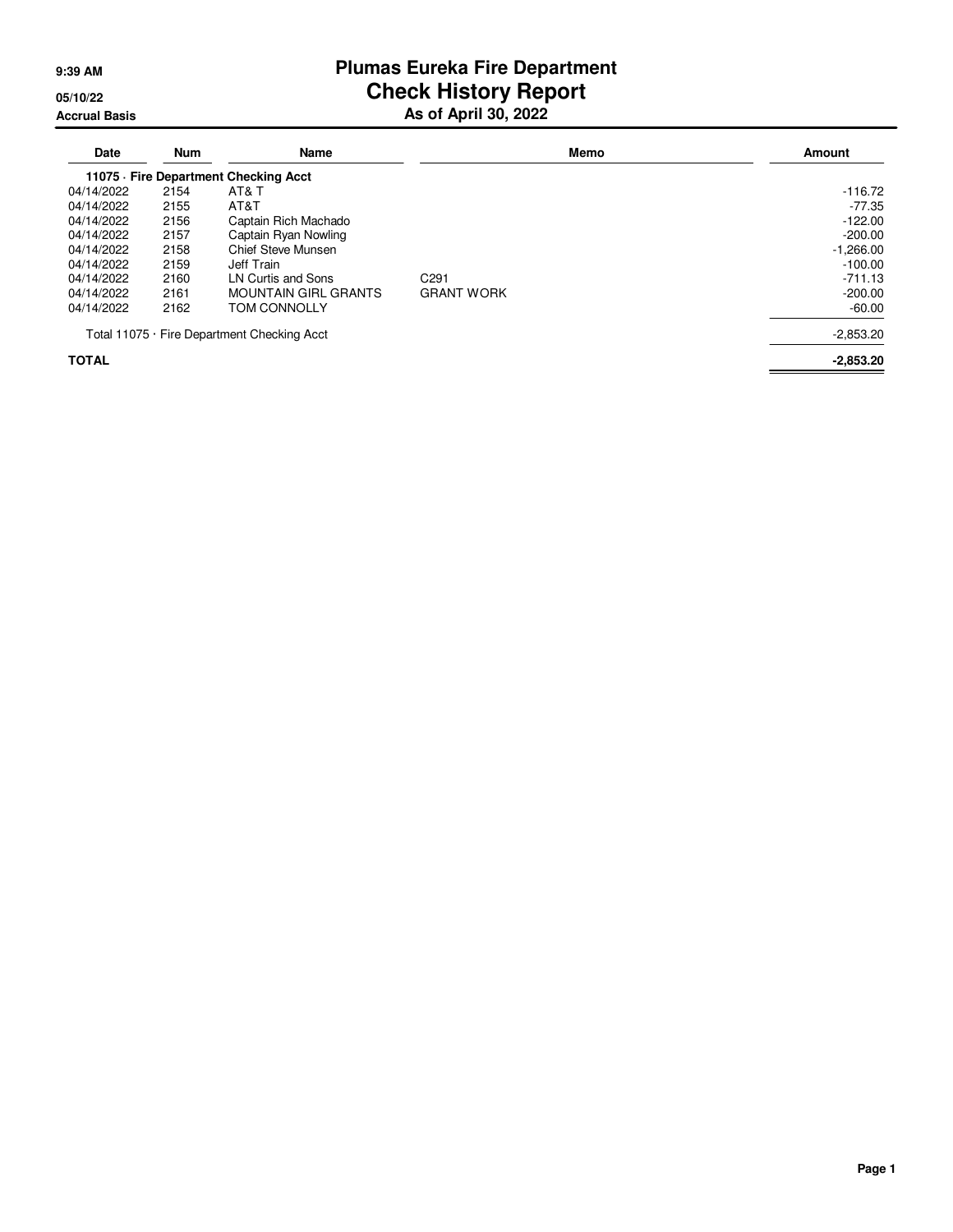# **9:39 AM Plumas Eureka Fire Department 05/10/22 Check History Report**

**Accrual Basis As of April 30, 2022**

| Date         | <b>Num</b> | Name                                        | Memo              | Amount      |
|--------------|------------|---------------------------------------------|-------------------|-------------|
|              |            | 11075 - Fire Department Checking Acct       |                   |             |
| 04/14/2022   | 2154       | AT& T                                       |                   | $-116.72$   |
| 04/14/2022   | 2155       | AT&T                                        |                   | -77.35      |
| 04/14/2022   | 2156       | Captain Rich Machado                        |                   | $-122.00$   |
| 04/14/2022   | 2157       | Captain Ryan Nowling                        |                   | $-200.00$   |
| 04/14/2022   | 2158       | Chief Steve Munsen                          |                   | $-1,266.00$ |
| 04/14/2022   | 2159       | Jeff Train                                  |                   | $-100.00$   |
| 04/14/2022   | 2160       | LN Curtis and Sons                          | C <sub>291</sub>  | $-711.13$   |
| 04/14/2022   | 2161       | <b>MOUNTAIN GIRL GRANTS</b>                 | <b>GRANT WORK</b> | $-200.00$   |
| 04/14/2022   | 2162       | <b>TOM CONNOLLY</b>                         |                   | $-60.00$    |
|              |            | Total 11075 · Fire Department Checking Acct |                   | $-2,853.20$ |
| <b>TOTAL</b> |            |                                             |                   | $-2.853.20$ |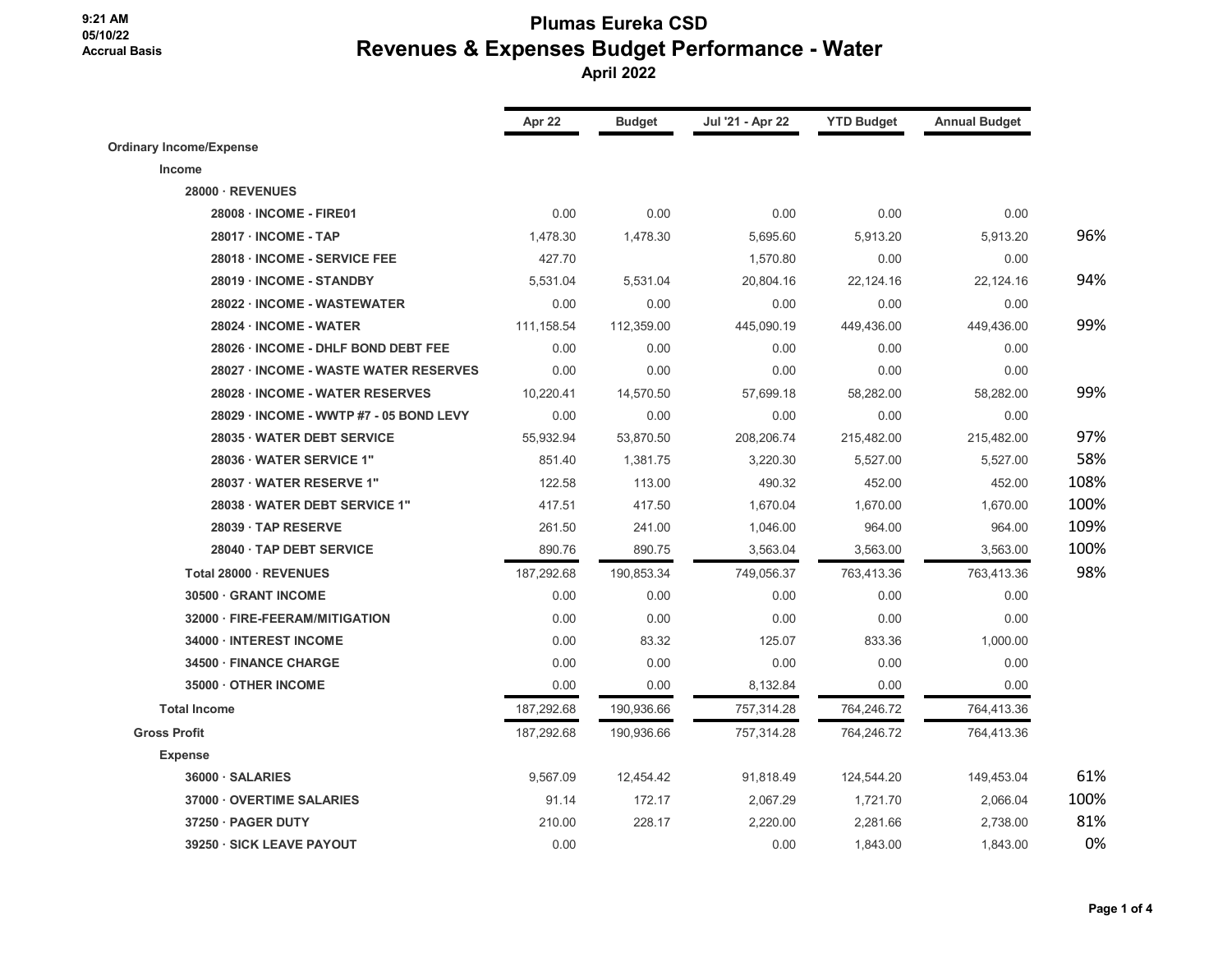### **Plumas Eureka CSD Revenues & Expenses Budget Performance - Water**

|                                         | Apr 22     | <b>Budget</b> | Jul '21 - Apr 22 | <b>YTD Budget</b> | <b>Annual Budget</b> |      |
|-----------------------------------------|------------|---------------|------------------|-------------------|----------------------|------|
| <b>Ordinary Income/Expense</b>          |            |               |                  |                   |                      |      |
| <b>Income</b>                           |            |               |                  |                   |                      |      |
| 28000 · REVENUES                        |            |               |                  |                   |                      |      |
| 28008 · INCOME - FIRE01                 | 0.00       | 0.00          | 0.00             | 0.00              | 0.00                 |      |
| 28017 · INCOME - TAP                    | 1,478.30   | 1,478.30      | 5,695.60         | 5,913.20          | 5,913.20             | 96%  |
| 28018 · INCOME - SERVICE FEE            | 427.70     |               | 1,570.80         | 0.00              | 0.00                 |      |
| 28019 · INCOME - STANDBY                | 5,531.04   | 5,531.04      | 20,804.16        | 22,124.16         | 22,124.16            | 94%  |
| 28022 · INCOME - WASTEWATER             | 0.00       | 0.00          | 0.00             | 0.00              | 0.00                 |      |
| 28024 · INCOME - WATER                  | 111,158.54 | 112,359.00    | 445,090.19       | 449,436.00        | 449,436.00           | 99%  |
| 28026 INCOME - DHLF BOND DEBT FEE       | 0.00       | 0.00          | 0.00             | 0.00              | 0.00                 |      |
| 28027 · INCOME - WASTE WATER RESERVES   | 0.00       | 0.00          | 0.00             | 0.00              | 0.00                 |      |
| 28028 NCOME - WATER RESERVES            | 10,220.41  | 14,570.50     | 57,699.18        | 58,282.00         | 58,282.00            | 99%  |
| 28029 · INCOME - WWTP #7 - 05 BOND LEVY | 0.00       | 0.00          | 0.00             | 0.00              | 0.00                 |      |
| 28035 · WATER DEBT SERVICE              | 55,932.94  | 53,870.50     | 208,206.74       | 215,482.00        | 215,482.00           | 97%  |
| 28036 · WATER SERVICE 1"                | 851.40     | 1,381.75      | 3,220.30         | 5,527.00          | 5,527.00             | 58%  |
| 28037 · WATER RESERVE 1"                | 122.58     | 113.00        | 490.32           | 452.00            | 452.00               | 108% |
| 28038 WATER DEBT SERVICE 1"             | 417.51     | 417.50        | 1,670.04         | 1,670.00          | 1,670.00             | 100% |
| 28039 · TAP RESERVE                     | 261.50     | 241.00        | 1,046.00         | 964.00            | 964.00               | 109% |
| 28040 · TAP DEBT SERVICE                | 890.76     | 890.75        | 3,563.04         | 3,563.00          | 3,563.00             | 100% |
| Total 28000 · REVENUES                  | 187,292.68 | 190,853.34    | 749,056.37       | 763,413.36        | 763,413.36           | 98%  |
| 30500 GRANT INCOME                      | 0.00       | 0.00          | 0.00             | 0.00              | 0.00                 |      |
| 32000 · FIRE-FEERAM/MITIGATION          | 0.00       | 0.00          | 0.00             | 0.00              | 0.00                 |      |
| 34000 · INTEREST INCOME                 | 0.00       | 83.32         | 125.07           | 833.36            | 1,000.00             |      |
| 34500 · FINANCE CHARGE                  | 0.00       | 0.00          | 0.00             | 0.00              | 0.00                 |      |
| 35000 OTHER INCOME                      | 0.00       | 0.00          | 8,132.84         | 0.00              | 0.00                 |      |
| <b>Total Income</b>                     | 187,292.68 | 190,936.66    | 757,314.28       | 764,246.72        | 764,413.36           |      |
| <b>Gross Profit</b>                     | 187,292.68 | 190,936.66    | 757,314.28       | 764,246.72        | 764,413.36           |      |
| <b>Expense</b>                          |            |               |                  |                   |                      |      |
| 36000 · SALARIES                        | 9,567.09   | 12,454.42     | 91,818.49        | 124,544.20        | 149,453.04           | 61%  |
| 37000 OVERTIME SALARIES                 | 91.14      | 172.17        | 2,067.29         | 1,721.70          | 2,066.04             | 100% |
| 37250 · PAGER DUTY                      | 210.00     | 228.17        | 2,220.00         | 2,281.66          | 2,738.00             | 81%  |
| 39250 · SICK LEAVE PAYOUT               | 0.00       |               | 0.00             | 1,843.00          | 1,843.00             | 0%   |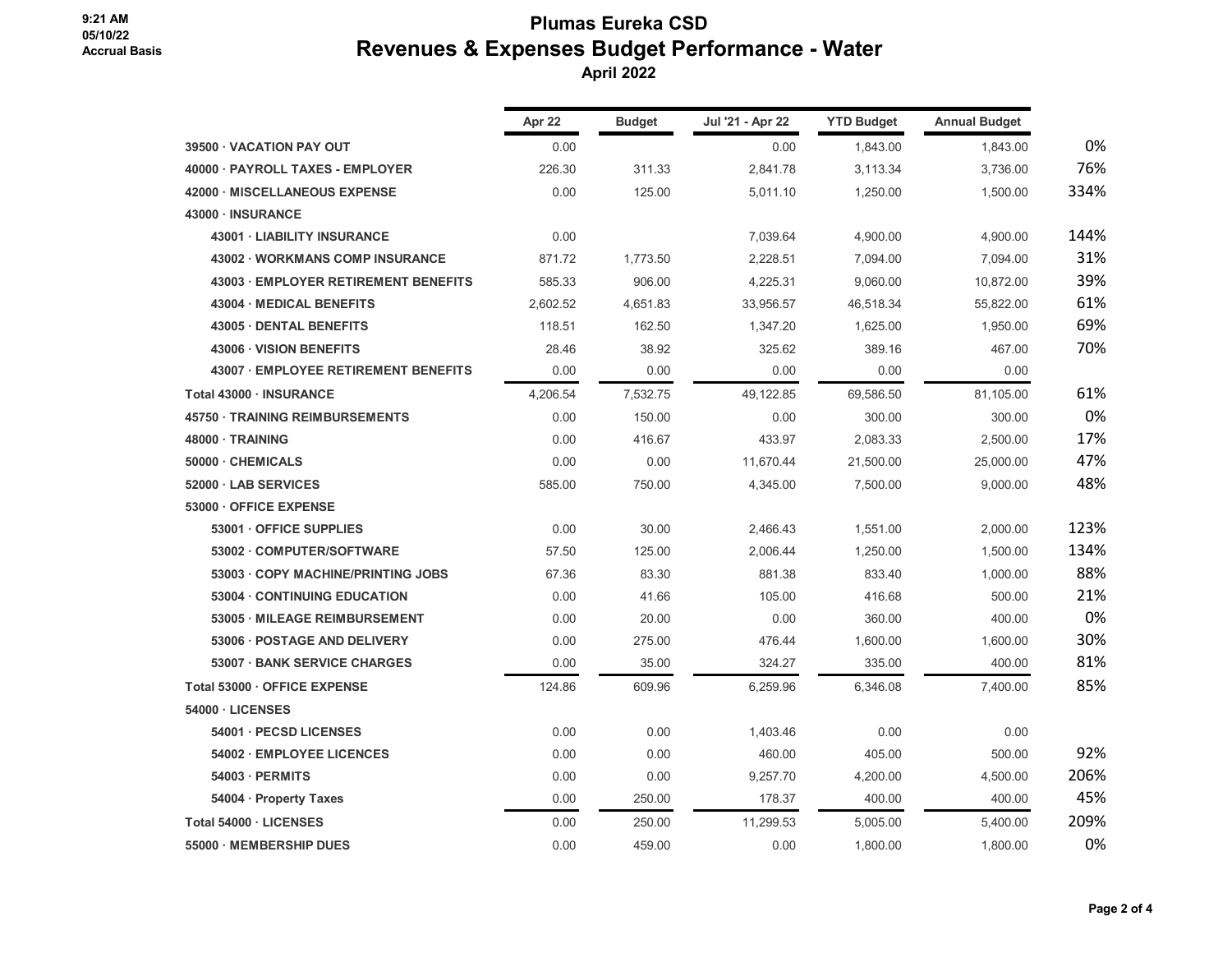### **Plumas Eureka CSD Revenues & Expenses Budget Performance - Water**

|                                      | Apr 22   | <b>Budget</b> | Jul '21 - Apr 22 | <b>YTD Budget</b> | <b>Annual Budget</b> |      |
|--------------------------------------|----------|---------------|------------------|-------------------|----------------------|------|
| 39500 · VACATION PAY OUT             | 0.00     |               | 0.00             | 1,843.00          | 1,843.00             | 0%   |
| 40000 · PAYROLL TAXES - EMPLOYER     | 226.30   | 311.33        | 2,841.78         | 3,113.34          | 3,736.00             | 76%  |
| 42000 · MISCELLANEOUS EXPENSE        | 0.00     | 125.00        | 5,011.10         | 1,250.00          | 1,500.00             | 334% |
| 43000 · INSURANCE                    |          |               |                  |                   |                      |      |
| 43001 · LIABILITY INSURANCE          | 0.00     |               | 7,039.64         | 4,900.00          | 4,900.00             | 144% |
| 43002 · WORKMANS COMP INSURANCE      | 871.72   | 1,773.50      | 2,228.51         | 7,094.00          | 7,094.00             | 31%  |
| 43003 · EMPLOYER RETIREMENT BENEFITS | 585.33   | 906.00        | 4,225.31         | 9,060.00          | 10,872.00            | 39%  |
| 43004 · MEDICAL BENEFITS             | 2,602.52 | 4,651.83      | 33,956.57        | 46,518.34         | 55,822.00            | 61%  |
| 43005 · DENTAL BENEFITS              | 118.51   | 162.50        | 1,347.20         | 1,625.00          | 1,950.00             | 69%  |
| 43006 · VISION BENEFITS              | 28.46    | 38.92         | 325.62           | 389.16            | 467.00               | 70%  |
| 43007 · EMPLOYEE RETIREMENT BENEFITS | 0.00     | 0.00          | 0.00             | 0.00              | 0.00                 |      |
| Total 43000 · INSURANCE              | 4,206.54 | 7,532.75      | 49,122.85        | 69,586.50         | 81,105.00            | 61%  |
| 45750 · TRAINING REIMBURSEMENTS      | 0.00     | 150.00        | 0.00             | 300.00            | 300.00               | 0%   |
| 48000 · TRAINING                     | 0.00     | 416.67        | 433.97           | 2,083.33          | 2,500.00             | 17%  |
| 50000 CHEMICALS                      | 0.00     | 0.00          | 11,670.44        | 21,500.00         | 25,000.00            | 47%  |
| 52000 · LAB SERVICES                 | 585.00   | 750.00        | 4,345.00         | 7,500.00          | 9,000.00             | 48%  |
| 53000 OFFICE EXPENSE                 |          |               |                  |                   |                      |      |
| 53001 · OFFICE SUPPLIES              | 0.00     | 30.00         | 2,466.43         | 1,551.00          | 2,000.00             | 123% |
| 53002 · COMPUTER/SOFTWARE            | 57.50    | 125.00        | 2,006.44         | 1,250.00          | 1,500.00             | 134% |
| 53003 COPY MACHINE/PRINTING JOBS     | 67.36    | 83.30         | 881.38           | 833.40            | 1,000.00             | 88%  |
| 53004 · CONTINUING EDUCATION         | 0.00     | 41.66         | 105.00           | 416.68            | 500.00               | 21%  |
| 53005 · MILEAGE REIMBURSEMENT        | 0.00     | 20.00         | 0.00             | 360.00            | 400.00               | 0%   |
| 53006 · POSTAGE AND DELIVERY         | 0.00     | 275.00        | 476.44           | 1,600.00          | 1,600.00             | 30%  |
| 53007 · BANK SERVICE CHARGES         | 0.00     | 35.00         | 324.27           | 335.00            | 400.00               | 81%  |
| Total 53000 · OFFICE EXPENSE         | 124.86   | 609.96        | 6,259.96         | 6,346.08          | 7,400.00             | 85%  |
| 54000 · LICENSES                     |          |               |                  |                   |                      |      |
| 54001 · PECSD LICENSES               | 0.00     | 0.00          | 1,403.46         | 0.00              | 0.00                 |      |
| 54002 · EMPLOYEE LICENCES            | 0.00     | 0.00          | 460.00           | 405.00            | 500.00               | 92%  |
| 54003 · PERMITS                      | 0.00     | 0.00          | 9,257.70         | 4,200.00          | 4,500.00             | 206% |
| 54004 · Property Taxes               | 0.00     | 250.00        | 178.37           | 400.00            | 400.00               | 45%  |
| Total 54000 · LICENSES               | 0.00     | 250.00        | 11,299.53        | 5,005.00          | 5,400.00             | 209% |
| 55000 · MEMBERSHIP DUES              | 0.00     | 459.00        | 0.00             | 1,800.00          | 1,800.00             | 0%   |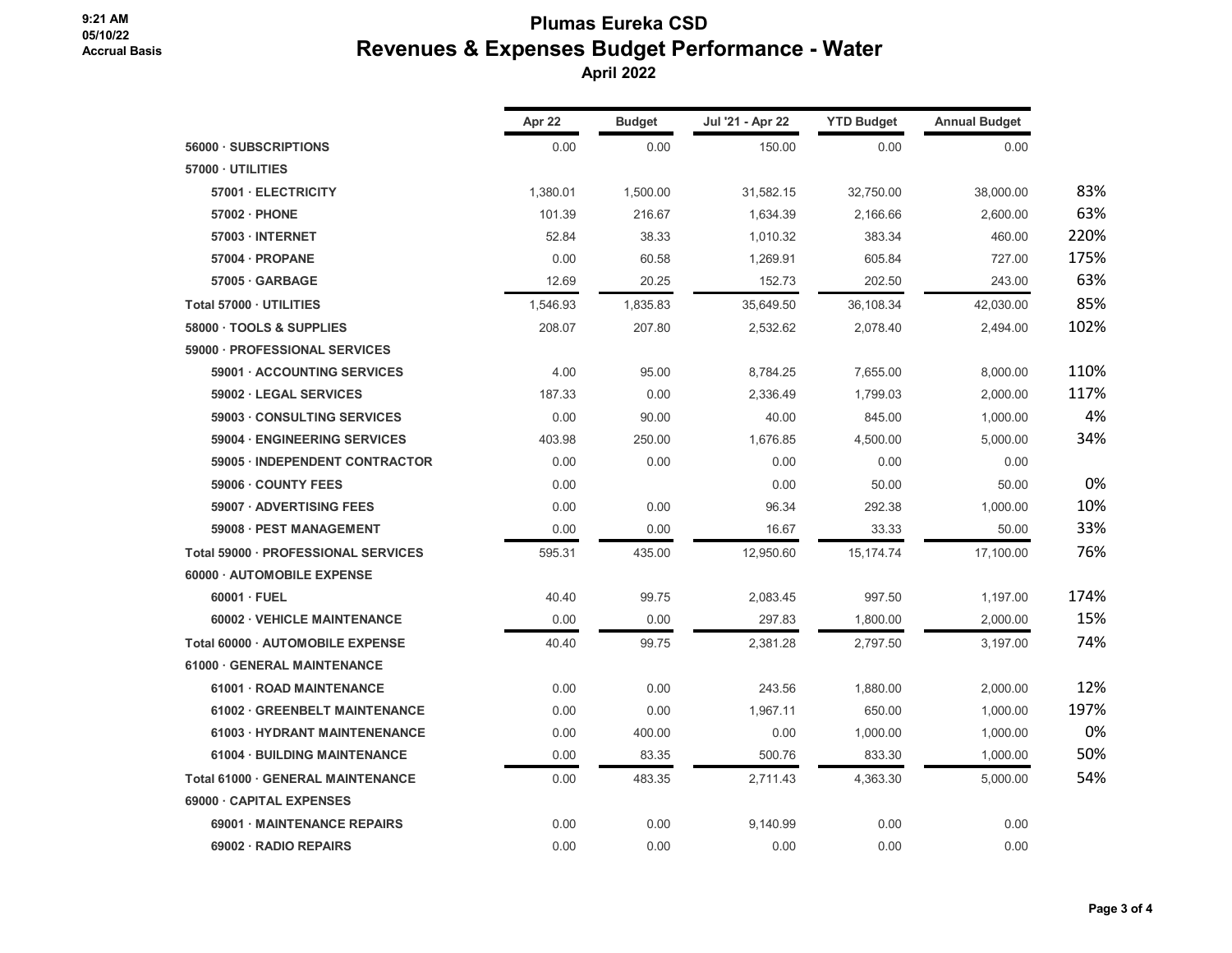### **Plumas Eureka CSD Revenues & Expenses Budget Performance - Water**

|                                     | Apr 22   | <b>Budget</b> | Jul '21 - Apr 22 | <b>YTD Budget</b> | <b>Annual Budget</b> |      |
|-------------------------------------|----------|---------------|------------------|-------------------|----------------------|------|
| 56000 · SUBSCRIPTIONS               | 0.00     | 0.00          | 150.00           | 0.00              | 0.00                 |      |
| 57000 · UTILITIES                   |          |               |                  |                   |                      |      |
| 57001 · ELECTRICITY                 | 1,380.01 | 1,500.00      | 31,582.15        | 32,750.00         | 38,000.00            | 83%  |
| $57002 \cdot PHONE$                 | 101.39   | 216.67        | 1,634.39         | 2,166.66          | 2,600.00             | 63%  |
| 57003 · INTERNET                    | 52.84    | 38.33         | 1,010.32         | 383.34            | 460.00               | 220% |
| 57004 · PROPANE                     | 0.00     | 60.58         | 1,269.91         | 605.84            | 727.00               | 175% |
| 57005 · GARBAGE                     | 12.69    | 20.25         | 152.73           | 202.50            | 243.00               | 63%  |
| Total 57000 UTILITIES               | 1,546.93 | 1,835.83      | 35,649.50        | 36,108.34         | 42,030.00            | 85%  |
| 58000 · TOOLS & SUPPLIES            | 208.07   | 207.80        | 2,532.62         | 2,078.40          | 2,494.00             | 102% |
| 59000 PROFESSIONAL SERVICES         |          |               |                  |                   |                      |      |
| 59001 · ACCOUNTING SERVICES         | 4.00     | 95.00         | 8,784.25         | 7,655.00          | 8,000.00             | 110% |
| 59002 · LEGAL SERVICES              | 187.33   | 0.00          | 2,336.49         | 1,799.03          | 2,000.00             | 117% |
| 59003 CONSULTING SERVICES           | 0.00     | 90.00         | 40.00            | 845.00            | 1,000.00             | 4%   |
| 59004 · ENGINEERING SERVICES        | 403.98   | 250.00        | 1,676.85         | 4,500.00          | 5.000.00             | 34%  |
| 59005 · INDEPENDENT CONTRACTOR      | 0.00     | 0.00          | 0.00             | 0.00              | 0.00                 |      |
| 59006 · COUNTY FEES                 | 0.00     |               | 0.00             | 50.00             | 50.00                | 0%   |
| 59007 · ADVERTISING FEES            | 0.00     | 0.00          | 96.34            | 292.38            | 1,000.00             | 10%  |
| 59008 · PEST MANAGEMENT             | 0.00     | 0.00          | 16.67            | 33.33             | 50.00                | 33%  |
| Total 59000 · PROFESSIONAL SERVICES | 595.31   | 435.00        | 12,950.60        | 15,174.74         | 17,100.00            | 76%  |
| 60000 · AUTOMOBILE EXPENSE          |          |               |                  |                   |                      |      |
| $60001 \cdot FUEL$                  | 40.40    | 99.75         | 2,083.45         | 997.50            | 1,197.00             | 174% |
| 60002 · VEHICLE MAINTENANCE         | 0.00     | 0.00          | 297.83           | 1,800.00          | 2,000.00             | 15%  |
| Total 60000 · AUTOMOBILE EXPENSE    | 40.40    | 99.75         | 2,381.28         | 2,797.50          | 3,197.00             | 74%  |
| 61000 GENERAL MAINTENANCE           |          |               |                  |                   |                      |      |
| 61001 · ROAD MAINTENANCE            | 0.00     | 0.00          | 243.56           | 1,880.00          | 2,000.00             | 12%  |
| 61002 · GREENBELT MAINTENANCE       | 0.00     | 0.00          | 1,967.11         | 650.00            | 1,000.00             | 197% |
| 61003 · HYDRANT MAINTENENANCE       | 0.00     | 400.00        | 0.00             | 1,000.00          | 1,000.00             | 0%   |
| 61004 · BUILDING MAINTENANCE        | 0.00     | 83.35         | 500.76           | 833.30            | 1,000.00             | 50%  |
| Total 61000 · GENERAL MAINTENANCE   | 0.00     | 483.35        | 2,711.43         | 4,363.30          | 5,000.00             | 54%  |
| 69000 CAPITAL EXPENSES              |          |               |                  |                   |                      |      |
| 69001 · MAINTENANCE REPAIRS         | 0.00     | 0.00          | 9,140.99         | 0.00              | 0.00                 |      |
| 69002 · RADIO REPAIRS               | 0.00     | 0.00          | 0.00             | 0.00              | 0.00                 |      |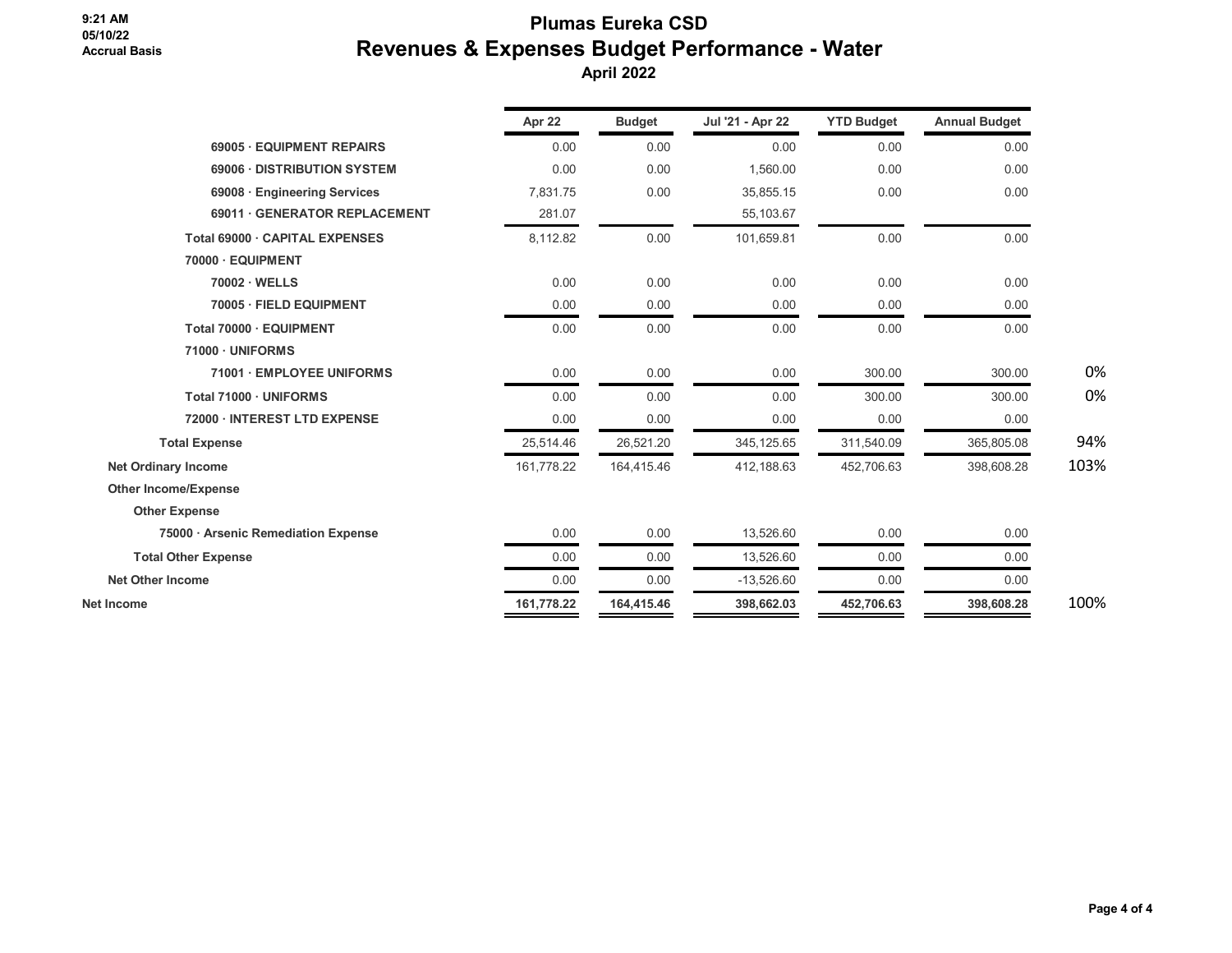## **Plumas Eureka CSD Revenues & Expenses Budget Performance - Water**

|                                     | Apr 22     | <b>Budget</b> | Jul '21 - Apr 22 | <b>YTD Budget</b> | <b>Annual Budget</b> |      |
|-------------------------------------|------------|---------------|------------------|-------------------|----------------------|------|
| 69005 · EQUIPMENT REPAIRS           | 0.00       | 0.00          | 0.00             | 0.00              | 0.00                 |      |
| 69006 · DISTRIBUTION SYSTEM         | 0.00       | 0.00          | 1,560.00         | 0.00              | 0.00                 |      |
| 69008 · Engineering Services        | 7.831.75   | 0.00          | 35,855.15        | 0.00              | 0.00                 |      |
| 69011 GENERATOR REPLACEMENT         | 281.07     |               | 55,103.67        |                   |                      |      |
| Total 69000 · CAPITAL EXPENSES      | 8,112.82   | 0.00          | 101,659.81       | 0.00              | 0.00                 |      |
| 70000 · EQUIPMENT                   |            |               |                  |                   |                      |      |
| 70002 · WELLS                       | 0.00       | 0.00          | 0.00             | 0.00              | 0.00                 |      |
| 70005 · FIELD EQUIPMENT             | 0.00       | 0.00          | 0.00             | 0.00              | 0.00                 |      |
| Total 70000 · EQUIPMENT             | 0.00       | 0.00          | 0.00             | 0.00              | 0.00                 |      |
| 71000 · UNIFORMS                    |            |               |                  |                   |                      |      |
| 71001 · EMPLOYEE UNIFORMS           | 0.00       | 0.00          | 0.00             | 300.00            | 300.00               | 0%   |
| Total 71000 · UNIFORMS              | 0.00       | 0.00          | 0.00             | 300.00            | 300.00               | 0%   |
| 72000 · INTEREST LTD EXPENSE        | 0.00       | 0.00          | 0.00             | 0.00              | 0.00                 |      |
| <b>Total Expense</b>                | 25,514.46  | 26,521.20     | 345, 125.65      | 311,540.09        | 365,805.08           | 94%  |
| <b>Net Ordinary Income</b>          | 161,778.22 | 164,415.46    | 412,188.63       | 452,706.63        | 398,608.28           | 103% |
| <b>Other Income/Expense</b>         |            |               |                  |                   |                      |      |
| <b>Other Expense</b>                |            |               |                  |                   |                      |      |
| 75000 · Arsenic Remediation Expense | 0.00       | 0.00          | 13,526.60        | 0.00              | 0.00                 |      |
| <b>Total Other Expense</b>          | 0.00       | 0.00          | 13,526.60        | 0.00              | 0.00                 |      |
| <b>Net Other Income</b>             | 0.00       | 0.00          | $-13,526.60$     | 0.00              | 0.00                 |      |
| Net Income                          | 161,778.22 | 164,415.46    | 398,662.03       | 452,706.63        | 398,608.28           | 100% |
|                                     |            |               |                  |                   |                      |      |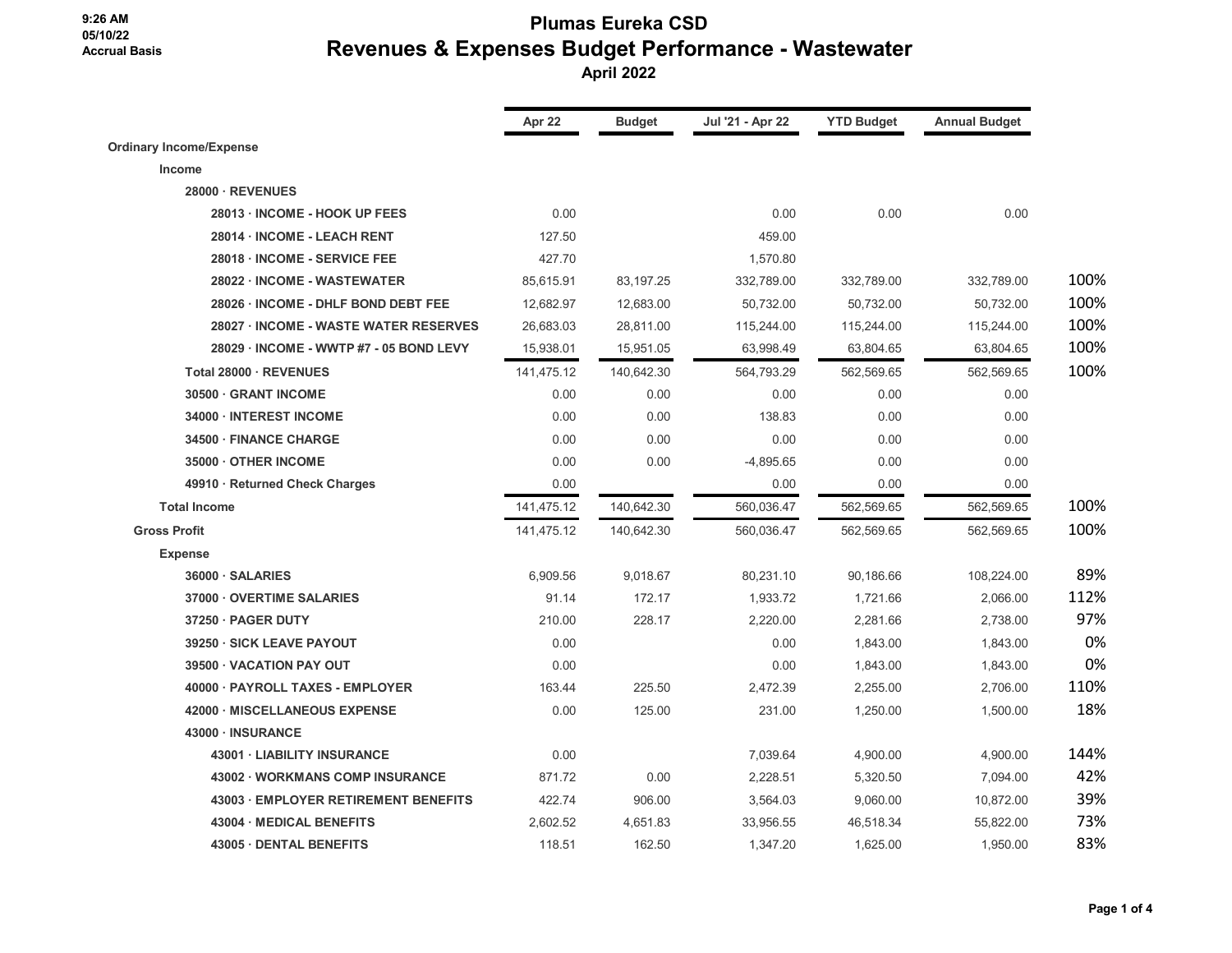### **Plumas Eureka CSD Revenues & Expenses Budget Performance - Wastewater**

|                                         | Apr 22     | <b>Budget</b> | Jul '21 - Apr 22 | <b>YTD Budget</b> | <b>Annual Budget</b> |      |
|-----------------------------------------|------------|---------------|------------------|-------------------|----------------------|------|
| <b>Ordinary Income/Expense</b>          |            |               |                  |                   |                      |      |
| <b>Income</b>                           |            |               |                  |                   |                      |      |
| 28000 · REVENUES                        |            |               |                  |                   |                      |      |
| 28013 · INCOME - HOOK UP FEES           | 0.00       |               | 0.00             | 0.00              | 0.00                 |      |
| 28014 · INCOME - LEACH RENT             | 127.50     |               | 459.00           |                   |                      |      |
| 28018 · INCOME - SERVICE FEE            | 427.70     |               | 1,570.80         |                   |                      |      |
| 28022 · INCOME - WASTEWATER             | 85,615.91  | 83,197.25     | 332,789.00       | 332,789.00        | 332,789.00           | 100% |
| 28026 NCOME - DHLF BOND DEBT FEE        | 12,682.97  | 12,683.00     | 50,732.00        | 50,732.00         | 50,732.00            | 100% |
| 28027 NCOME - WASTE WATER RESERVES      | 26,683.03  | 28,811.00     | 115,244.00       | 115,244.00        | 115,244.00           | 100% |
| 28029 · INCOME - WWTP #7 - 05 BOND LEVY | 15,938.01  | 15,951.05     | 63,998.49        | 63,804.65         | 63,804.65            | 100% |
| Total 28000 · REVENUES                  | 141,475.12 | 140,642.30    | 564,793.29       | 562,569.65        | 562,569.65           | 100% |
| 30500 · GRANT INCOME                    | 0.00       | 0.00          | 0.00             | 0.00              | 0.00                 |      |
| 34000 · INTEREST INCOME                 | 0.00       | 0.00          | 138.83           | 0.00              | 0.00                 |      |
| 34500 · FINANCE CHARGE                  | 0.00       | 0.00          | 0.00             | 0.00              | 0.00                 |      |
| 35000 OTHER INCOME                      | 0.00       | 0.00          | $-4,895.65$      | 0.00              | 0.00                 |      |
| 49910 · Returned Check Charges          | 0.00       |               | 0.00             | 0.00              | 0.00                 |      |
| <b>Total Income</b>                     | 141,475.12 | 140,642.30    | 560,036.47       | 562,569.65        | 562,569.65           | 100% |
| <b>Gross Profit</b>                     | 141,475.12 | 140,642.30    | 560,036.47       | 562,569.65        | 562,569.65           | 100% |
| <b>Expense</b>                          |            |               |                  |                   |                      |      |
| 36000 · SALARIES                        | 6,909.56   | 9,018.67      | 80,231.10        | 90,186.66         | 108,224.00           | 89%  |
| 37000 OVERTIME SALARIES                 | 91.14      | 172.17        | 1,933.72         | 1,721.66          | 2,066.00             | 112% |
| 37250 · PAGER DUTY                      | 210.00     | 228.17        | 2,220.00         | 2,281.66          | 2,738.00             | 97%  |
| 39250 · SICK LEAVE PAYOUT               | 0.00       |               | 0.00             | 1,843.00          | 1,843.00             | 0%   |
| 39500 · VACATION PAY OUT                | 0.00       |               | 0.00             | 1,843.00          | 1,843.00             | 0%   |
| 40000 · PAYROLL TAXES - EMPLOYER        | 163.44     | 225.50        | 2,472.39         | 2,255.00          | 2,706.00             | 110% |
| 42000 · MISCELLANEOUS EXPENSE           | 0.00       | 125.00        | 231.00           | 1,250.00          | 1,500.00             | 18%  |
| 43000 · INSURANCE                       |            |               |                  |                   |                      |      |
| 43001 · LIABILITY INSURANCE             | 0.00       |               | 7,039.64         | 4,900.00          | 4,900.00             | 144% |
| 43002 · WORKMANS COMP INSURANCE         | 871.72     | 0.00          | 2,228.51         | 5,320.50          | 7,094.00             | 42%  |
| 43003 · EMPLOYER RETIREMENT BENEFITS    | 422.74     | 906.00        | 3,564.03         | 9,060.00          | 10,872.00            | 39%  |
| 43004 · MEDICAL BENEFITS                | 2,602.52   | 4,651.83      | 33,956.55        | 46,518.34         | 55,822.00            | 73%  |
| 43005 · DENTAL BENEFITS                 | 118.51     | 162.50        | 1,347.20         | 1,625.00          | 1,950.00             | 83%  |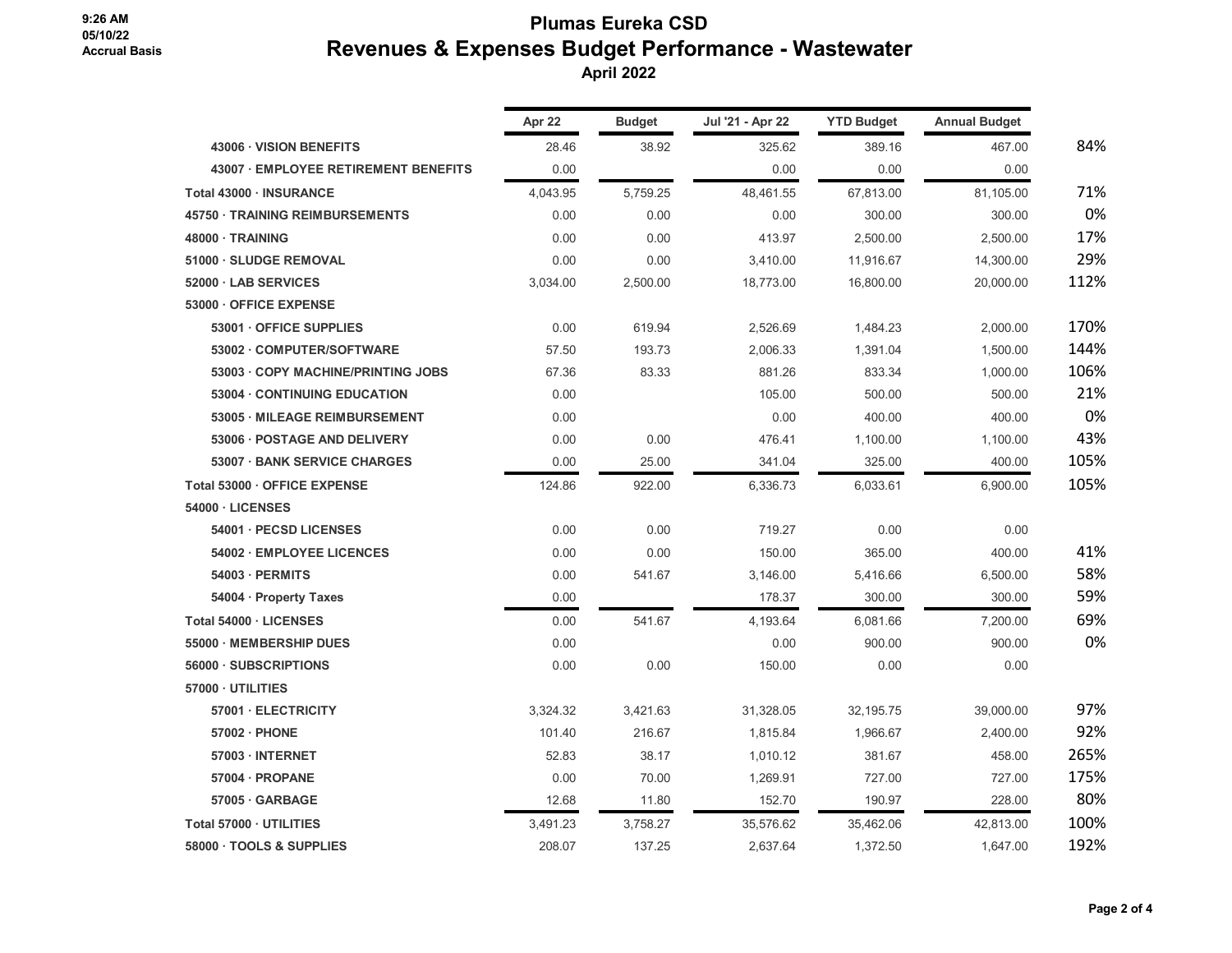### **Plumas Eureka CSD Revenues & Expenses Budget Performance - Wastewater**

|                                        | Apr 22   | <b>Budget</b> | Jul '21 - Apr 22 | <b>YTD Budget</b> | <b>Annual Budget</b> |      |
|----------------------------------------|----------|---------------|------------------|-------------------|----------------------|------|
| 43006 · VISION BENEFITS                | 28.46    | 38.92         | 325.62           | 389.16            | 467.00               | 84%  |
| 43007 · EMPLOYEE RETIREMENT BENEFITS   | 0.00     |               | 0.00             | 0.00              | 0.00                 |      |
| Total 43000 · INSURANCE                | 4,043.95 | 5,759.25      | 48,461.55        | 67,813.00         | 81,105.00            | 71%  |
| <b>45750 · TRAINING REIMBURSEMENTS</b> | 0.00     | 0.00          | 0.00             | 300.00            | 300.00               | 0%   |
| 48000 · TRAINING                       | 0.00     | 0.00          | 413.97           | 2,500.00          | 2,500.00             | 17%  |
| 51000 · SLUDGE REMOVAL                 | 0.00     | 0.00          | 3,410.00         | 11,916.67         | 14,300.00            | 29%  |
| 52000 · LAB SERVICES                   | 3,034.00 | 2,500.00      | 18,773.00        | 16,800.00         | 20,000.00            | 112% |
| 53000 OFFICE EXPENSE                   |          |               |                  |                   |                      |      |
| 53001 · OFFICE SUPPLIES                | 0.00     | 619.94        | 2,526.69         | 1,484.23          | 2,000.00             | 170% |
| 53002 COMPUTER/SOFTWARE                | 57.50    | 193.73        | 2,006.33         | 1,391.04          | 1,500.00             | 144% |
| 53003 · COPY MACHINE/PRINTING JOBS     | 67.36    | 83.33         | 881.26           | 833.34            | 1,000.00             | 106% |
| 53004 CONTINUING EDUCATION             | 0.00     |               | 105.00           | 500.00            | 500.00               | 21%  |
| 53005 · MILEAGE REIMBURSEMENT          | 0.00     |               | 0.00             | 400.00            | 400.00               | 0%   |
| 53006 · POSTAGE AND DELIVERY           | 0.00     | 0.00          | 476.41           | 1,100.00          | 1,100.00             | 43%  |
| 53007 · BANK SERVICE CHARGES           | 0.00     | 25.00         | 341.04           | 325.00            | 400.00               | 105% |
| Total 53000 OFFICE EXPENSE             | 124.86   | 922.00        | 6,336.73         | 6,033.61          | 6,900.00             | 105% |
| 54000 · LICENSES                       |          |               |                  |                   |                      |      |
| 54001 · PECSD LICENSES                 | 0.00     | 0.00          | 719.27           | 0.00              | 0.00                 |      |
| 54002 · EMPLOYEE LICENCES              | 0.00     | 0.00          | 150.00           | 365.00            | 400.00               | 41%  |
| 54003 · PERMITS                        | 0.00     | 541.67        | 3,146.00         | 5,416.66          | 6,500.00             | 58%  |
| 54004 · Property Taxes                 | 0.00     |               | 178.37           | 300.00            | 300.00               | 59%  |
| Total 54000 · LICENSES                 | 0.00     | 541.67        | 4,193.64         | 6,081.66          | 7,200.00             | 69%  |
| 55000 MEMBERSHIP DUES                  | 0.00     |               | 0.00             | 900.00            | 900.00               | 0%   |
| 56000 · SUBSCRIPTIONS                  | 0.00     | 0.00          | 150.00           | 0.00              | 0.00                 |      |
| 57000 · UTILITIES                      |          |               |                  |                   |                      |      |
| 57001 · ELECTRICITY                    | 3,324.32 | 3,421.63      | 31,328.05        | 32,195.75         | 39,000.00            | 97%  |
| $57002 \cdot PHONE$                    | 101.40   | 216.67        | 1,815.84         | 1,966.67          | 2,400.00             | 92%  |
| 57003 · INTERNET                       | 52.83    | 38.17         | 1,010.12         | 381.67            | 458.00               | 265% |
| 57004 · PROPANE                        | 0.00     | 70.00         | 1,269.91         | 727.00            | 727.00               | 175% |
| 57005 · GARBAGE                        | 12.68    | 11.80         | 152.70           | 190.97            | 228.00               | 80%  |
| Total 57000 · UTILITIES                | 3,491.23 | 3,758.27      | 35,576.62        | 35,462.06         | 42.813.00            | 100% |
| 58000 · TOOLS & SUPPLIES               | 208.07   | 137.25        | 2,637.64         | 1,372.50          | 1,647.00             | 192% |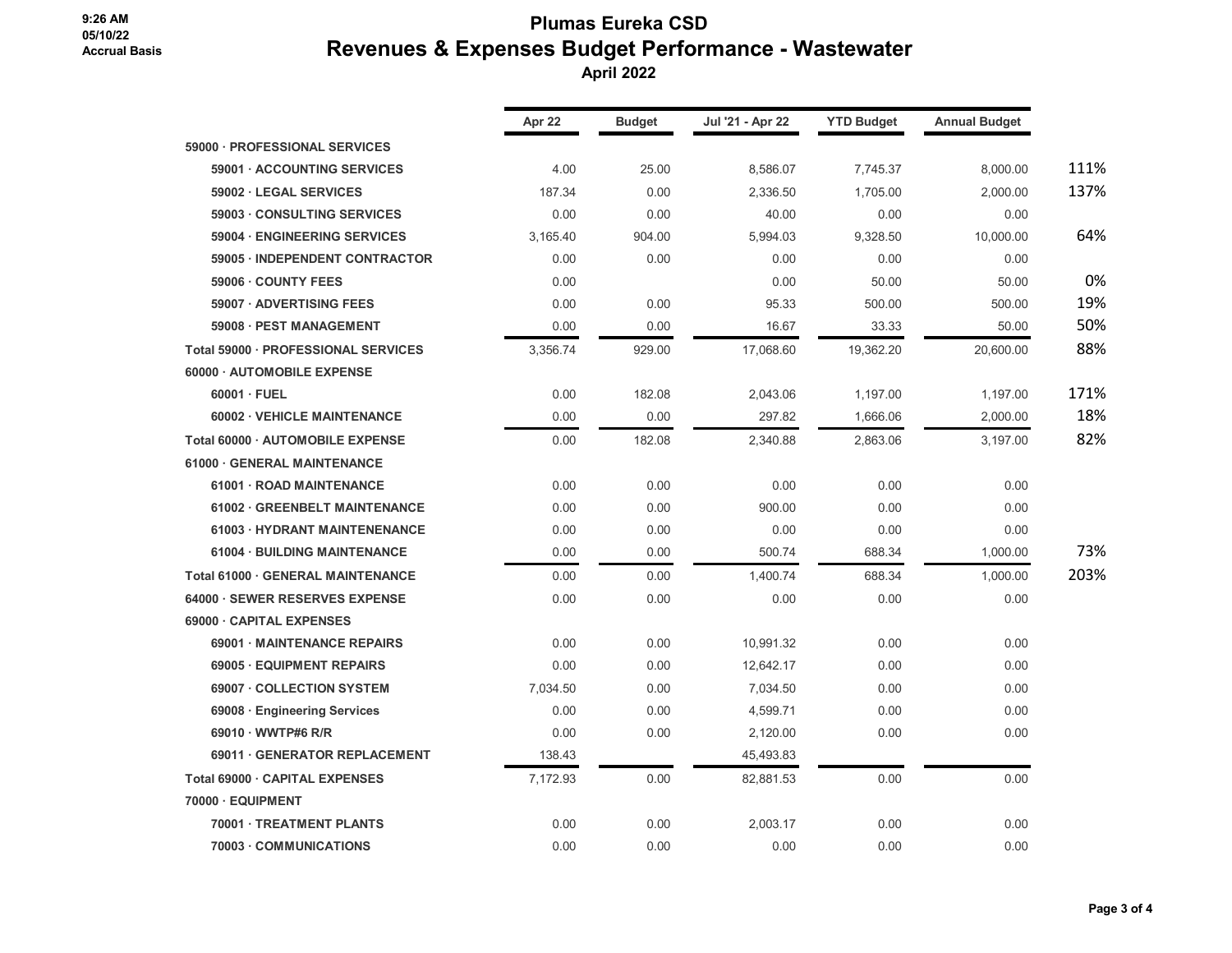### **Plumas Eureka CSD Revenues & Expenses Budget Performance - Wastewater**

|                                            | Apr 22   | <b>Budget</b> | Jul '21 - Apr 22 | <b>YTD Budget</b> | <b>Annual Budget</b> |      |
|--------------------------------------------|----------|---------------|------------------|-------------------|----------------------|------|
| 59000 - PROFESSIONAL SERVICES              |          |               |                  |                   |                      |      |
| 59001 · ACCOUNTING SERVICES                | 4.00     | 25.00         | 8,586.07         | 7,745.37          | 8,000.00             | 111% |
| 59002 · LEGAL SERVICES                     | 187.34   | 0.00          | 2.336.50         | 1.705.00          | 2.000.00             | 137% |
| 59003 CONSULTING SERVICES                  | 0.00     | 0.00          | 40.00            | 0.00              | 0.00                 |      |
| 59004 · ENGINEERING SERVICES               | 3,165.40 | 904.00        | 5,994.03         | 9,328.50          | 10,000.00            | 64%  |
| 59005 · INDEPENDENT CONTRACTOR             | 0.00     | 0.00          | 0.00             | 0.00              | 0.00                 |      |
| 59006 · COUNTY FEES                        | 0.00     |               | 0.00             | 50.00             | 50.00                | 0%   |
| 59007 · ADVERTISING FEES                   | 0.00     | 0.00          | 95.33            | 500.00            | 500.00               | 19%  |
| 59008 - PEST MANAGEMENT                    | 0.00     | 0.00          | 16.67            | 33.33             | 50.00                | 50%  |
| <b>Total 59000 - PROFESSIONAL SERVICES</b> | 3,356.74 | 929.00        | 17,068.60        | 19,362.20         | 20,600.00            | 88%  |
| 60000 · AUTOMOBILE EXPENSE                 |          |               |                  |                   |                      |      |
| $60001 \cdot FUEL$                         | 0.00     | 182.08        | 2,043.06         | 1,197.00          | 1,197.00             | 171% |
| 60002 · VEHICLE MAINTENANCE                | 0.00     | 0.00          | 297.82           | 1,666.06          | 2,000.00             | 18%  |
| Total 60000 · AUTOMOBILE EXPENSE           | 0.00     | 182.08        | 2,340.88         | 2,863.06          | 3,197.00             | 82%  |
| 61000 GENERAL MAINTENANCE                  |          |               |                  |                   |                      |      |
| 61001 · ROAD MAINTENANCE                   | 0.00     | 0.00          | 0.00             | 0.00              | 0.00                 |      |
| 61002 GREENBELT MAINTENANCE                | 0.00     | 0.00          | 900.00           | 0.00              | 0.00                 |      |
| 61003 · HYDRANT MAINTENENANCE              | 0.00     | 0.00          | 0.00             | 0.00              | 0.00                 |      |
| 61004 · BUILDING MAINTENANCE               | 0.00     | 0.00          | 500.74           | 688.34            | 1,000.00             | 73%  |
| <b>Total 61000 · GENERAL MAINTENANCE</b>   | 0.00     | 0.00          | 1,400.74         | 688.34            | 1,000.00             | 203% |
| 64000 · SEWER RESERVES EXPENSE             | 0.00     | 0.00          | 0.00             | 0.00              | 0.00                 |      |
| 69000 · CAPITAL EXPENSES                   |          |               |                  |                   |                      |      |
| 69001 · MAINTENANCE REPAIRS                | 0.00     | 0.00          | 10,991.32        | 0.00              | 0.00                 |      |
| 69005 · EQUIPMENT REPAIRS                  | 0.00     | 0.00          | 12,642.17        | 0.00              | 0.00                 |      |
| 69007 · COLLECTION SYSTEM                  | 7,034.50 | 0.00          | 7,034.50         | 0.00              | 0.00                 |      |
| 69008 · Engineering Services               | 0.00     | 0.00          | 4,599.71         | 0.00              | 0.00                 |      |
| 69010 · WWTP#6 R/R                         | 0.00     | 0.00          | 2,120.00         | 0.00              | 0.00                 |      |
| 69011 GENERATOR REPLACEMENT                | 138.43   |               | 45,493.83        |                   |                      |      |
| Total 69000 · CAPITAL EXPENSES             | 7,172.93 | 0.00          | 82,881.53        | 0.00              | 0.00                 |      |
| 70000 · EQUIPMENT                          |          |               |                  |                   |                      |      |
| 70001 · TREATMENT PLANTS                   | 0.00     | 0.00          | 2,003.17         | 0.00              | 0.00                 |      |
| 70003 COMMUNICATIONS                       | 0.00     | 0.00          | 0.00             | 0.00              | 0.00                 |      |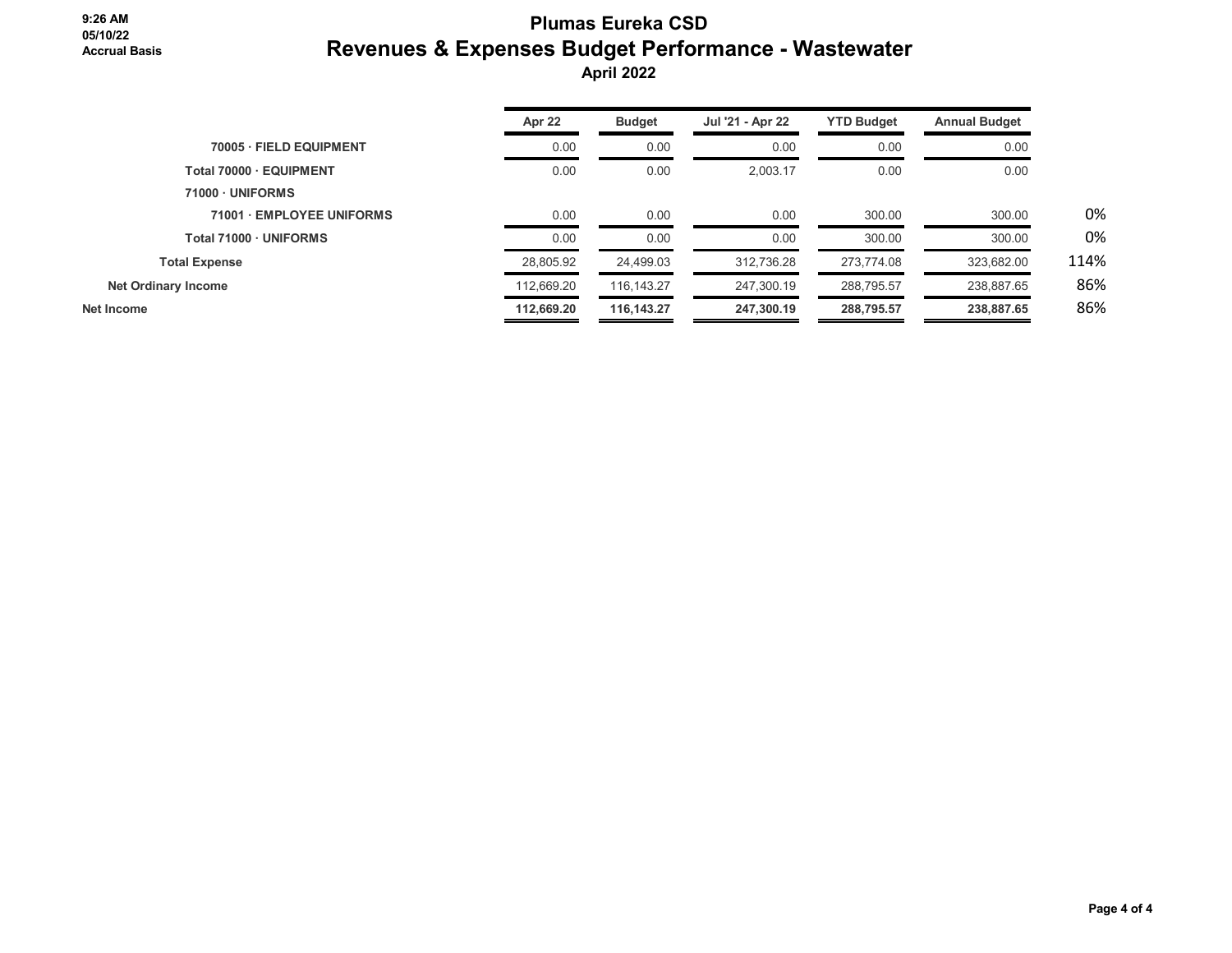### **Plumas Eureka CSD Revenues & Expenses Budget Performance - Wastewater**

|                            | Apr 22     | <b>Budget</b> | Jul '21 - Apr 22 | <b>YTD Budget</b> | <b>Annual Budget</b> |      |
|----------------------------|------------|---------------|------------------|-------------------|----------------------|------|
| 70005 · FIELD EQUIPMENT    | 0.00       | 0.00          | 0.00             | 0.00              | 0.00                 |      |
| Total 70000 · EQUIPMENT    | 0.00       | 0.00          | 2,003.17         | 0.00              | 0.00                 |      |
| 71000 · UNIFORMS           |            |               |                  |                   |                      |      |
| 71001 · EMPLOYEE UNIFORMS  | 0.00       | 0.00          | 0.00             | 300.00            | 300.00               | 0%   |
| Total 71000 · UNIFORMS     | 0.00       | 0.00          | 0.00             | 300.00            | 300.00               | 0%   |
| <b>Total Expense</b>       | 28,805.92  | 24,499.03     | 312,736.28       | 273,774.08        | 323,682.00           | 114% |
| <b>Net Ordinary Income</b> | 112,669.20 | 116, 143. 27  | 247,300.19       | 288,795.57        | 238,887.65           | 86%  |
| Net Income                 | 112,669.20 | 116, 143. 27  | 247.300.19       | 288.795.57        | 238.887.65           | 86%  |
|                            |            |               |                  |                   |                      |      |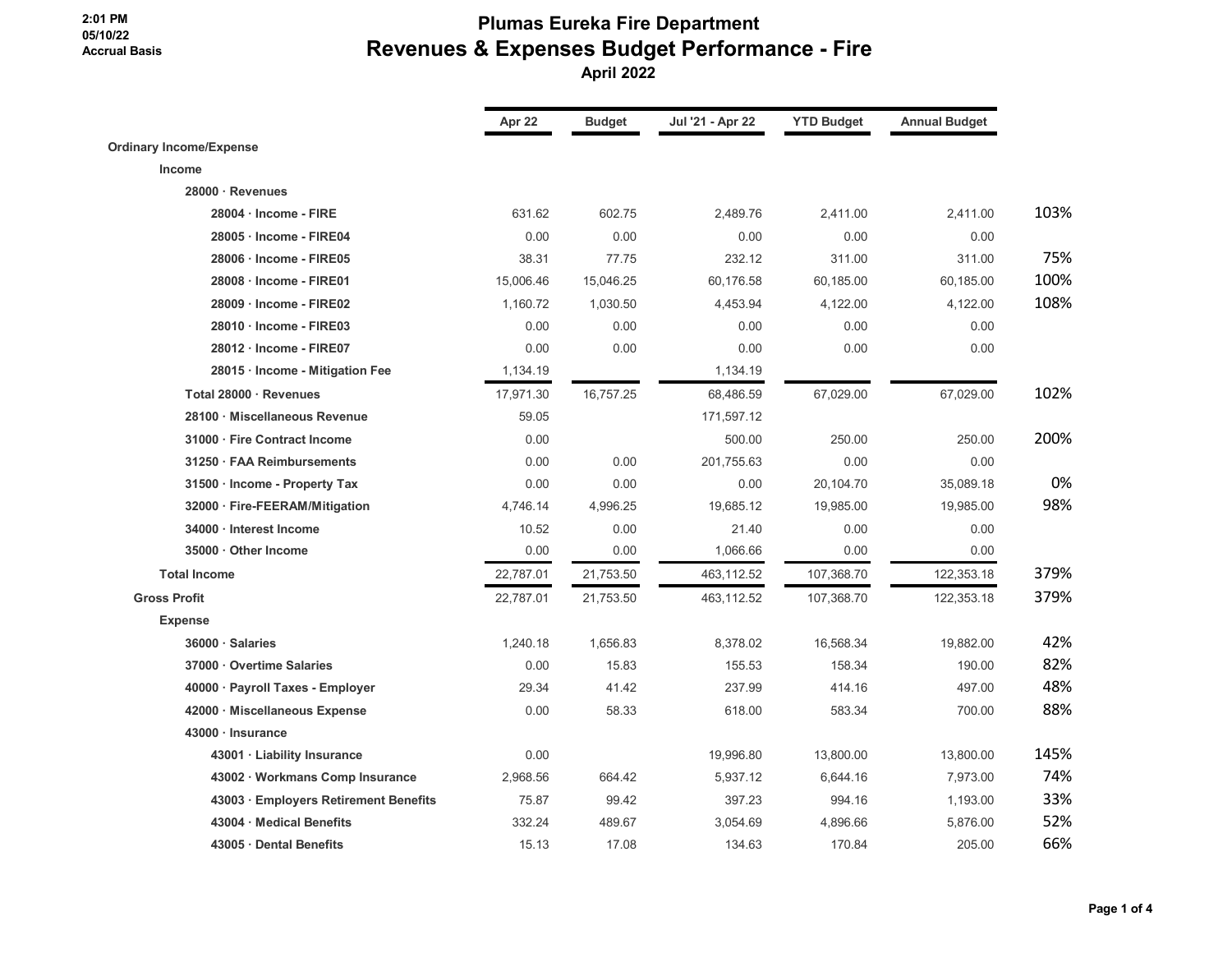# **Plumas Eureka Fire Department Revenues & Expenses Budget Performance - Fire**

|                                       | Apr 22    | <b>Budget</b> | Jul '21 - Apr 22 | <b>YTD Budget</b> | <b>Annual Budget</b> |      |
|---------------------------------------|-----------|---------------|------------------|-------------------|----------------------|------|
| <b>Ordinary Income/Expense</b>        |           |               |                  |                   |                      |      |
| Income                                |           |               |                  |                   |                      |      |
| 28000 · Revenues                      |           |               |                  |                   |                      |      |
| 28004 · Income - FIRE                 | 631.62    | 602.75        | 2,489.76         | 2,411.00          | 2,411.00             | 103% |
| 28005 · Income - FIRE04               | 0.00      | 0.00          | 0.00             | 0.00              | 0.00                 |      |
| 28006 · Income - FIRE05               | 38.31     | 77.75         | 232.12           | 311.00            | 311.00               | 75%  |
| 28008 · Income - FIRE01               | 15.006.46 | 15,046.25     | 60.176.58        | 60.185.00         | 60.185.00            | 100% |
| 28009 · Income - FIRE02               | 1,160.72  | 1,030.50      | 4,453.94         | 4,122.00          | 4,122.00             | 108% |
| 28010 · Income - FIRE03               | 0.00      | 0.00          | 0.00             | 0.00              | 0.00                 |      |
| 28012 · Income - FIRE07               | 0.00      | 0.00          | 0.00             | 0.00              | 0.00                 |      |
| 28015 · Income - Mitigation Fee       | 1,134.19  |               | 1,134.19         |                   |                      |      |
| Total 28000 · Revenues                | 17,971.30 | 16,757.25     | 68,486.59        | 67,029.00         | 67,029.00            | 102% |
| 28100 · Miscellaneous Revenue         | 59.05     |               | 171,597.12       |                   |                      |      |
| 31000 · Fire Contract Income          | 0.00      |               | 500.00           | 250.00            | 250.00               | 200% |
| 31250 · FAA Reimbursements            | 0.00      | 0.00          | 201,755.63       | 0.00              | 0.00                 |      |
| 31500 · Income - Property Tax         | 0.00      | 0.00          | 0.00             | 20,104.70         | 35,089.18            | 0%   |
| 32000 · Fire-FEERAM/Mitigation        | 4,746.14  | 4,996.25      | 19,685.12        | 19,985.00         | 19,985.00            | 98%  |
| 34000 · Interest Income               | 10.52     | 0.00          | 21.40            | 0.00              | 0.00                 |      |
| 35000 · Other Income                  | 0.00      | 0.00          | 1,066.66         | 0.00              | 0.00                 |      |
| <b>Total Income</b>                   | 22,787.01 | 21,753.50     | 463,112.52       | 107,368.70        | 122,353.18           | 379% |
| <b>Gross Profit</b>                   | 22,787.01 | 21,753.50     | 463,112.52       | 107,368.70        | 122,353.18           | 379% |
| <b>Expense</b>                        |           |               |                  |                   |                      |      |
| 36000 · Salaries                      | 1,240.18  | 1,656.83      | 8,378.02         | 16,568.34         | 19,882.00            | 42%  |
| 37000 Overtime Salaries               | 0.00      | 15.83         | 155.53           | 158.34            | 190.00               | 82%  |
| 40000 · Payroll Taxes - Employer      | 29.34     | 41.42         | 237.99           | 414.16            | 497.00               | 48%  |
| 42000 · Miscellaneous Expense         | 0.00      | 58.33         | 618.00           | 583.34            | 700.00               | 88%  |
| 43000 · Insurance                     |           |               |                  |                   |                      |      |
| 43001 · Liability Insurance           | 0.00      |               | 19,996.80        | 13,800.00         | 13,800.00            | 145% |
| 43002 · Workmans Comp Insurance       | 2,968.56  | 664.42        | 5,937.12         | 6,644.16          | 7,973.00             | 74%  |
| 43003 · Employers Retirement Benefits | 75.87     | 99.42         | 397.23           | 994.16            | 1,193.00             | 33%  |
| 43004 · Medical Benefits              | 332.24    | 489.67        | 3,054.69         | 4,896.66          | 5,876.00             | 52%  |
| 43005 · Dental Benefits               | 15.13     | 17.08         | 134.63           | 170.84            | 205.00               | 66%  |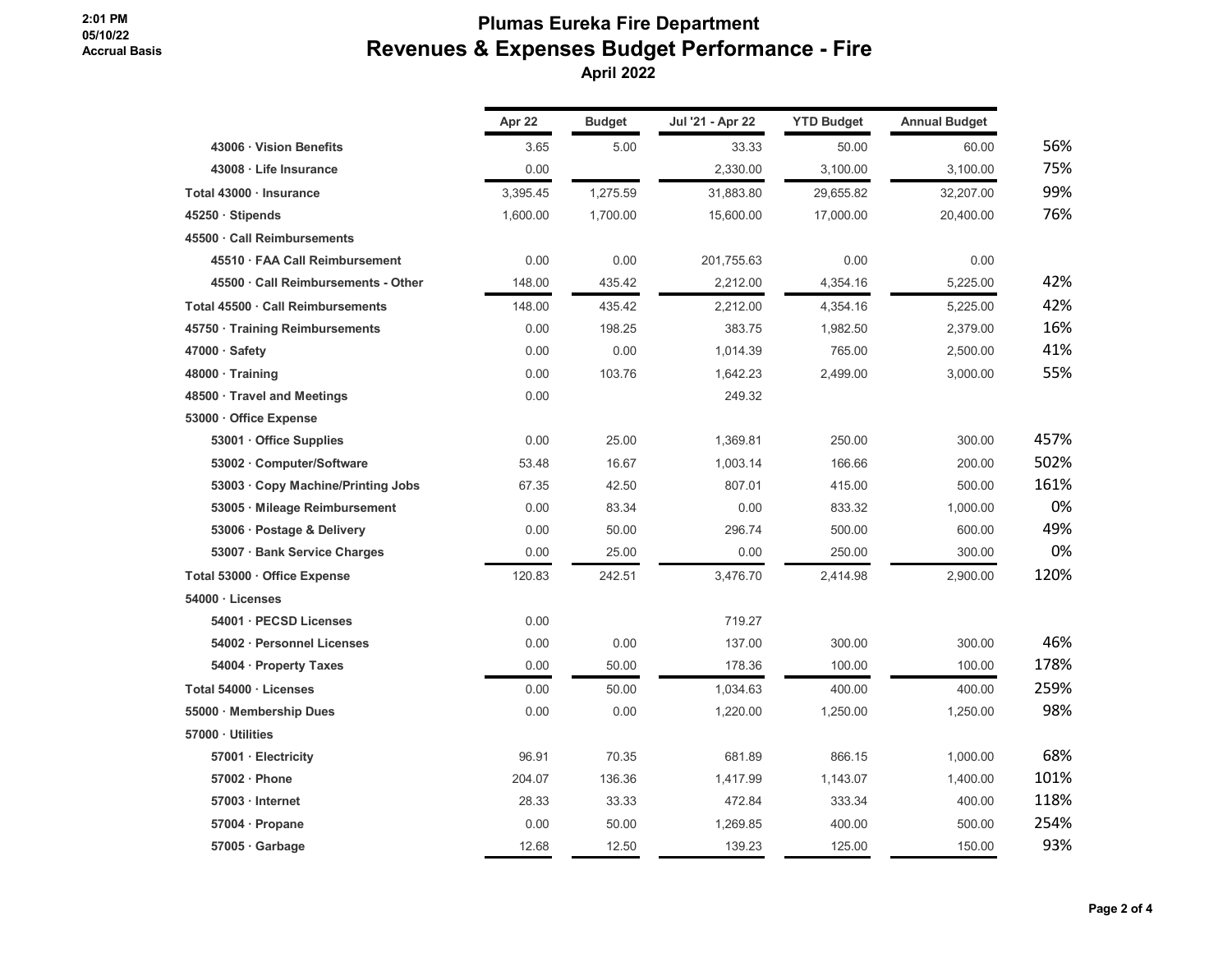# **Plumas Eureka Fire Department Revenues & Expenses Budget Performance - Fire**

|                                   | Apr 22   | <b>Budget</b> | Jul '21 - Apr 22 | <b>YTD Budget</b> | <b>Annual Budget</b> |      |
|-----------------------------------|----------|---------------|------------------|-------------------|----------------------|------|
| 43006 · Vision Benefits           | 3.65     | 5.00          | 33.33            | 50.00             | 60.00                | 56%  |
| 43008 · Life Insurance            | 0.00     |               | 2,330.00         | 3,100.00          | 3,100.00             | 75%  |
| Total 43000 · Insurance           | 3,395.45 | 1,275.59      | 31,883.80        | 29,655.82         | 32,207.00            | 99%  |
| 45250 · Stipends                  | 1,600.00 | 1,700.00      | 15,600.00        | 17,000.00         | 20,400.00            | 76%  |
| 45500 · Call Reimbursements       |          |               |                  |                   |                      |      |
| 45510 · FAA Call Reimbursement    | 0.00     | 0.00          | 201,755.63       | 0.00              | 0.00                 |      |
| 45500 Call Reimbursements - Other | 148.00   | 435.42        | 2,212.00         | 4,354.16          | 5,225.00             | 42%  |
| Total 45500 · Call Reimbursements | 148.00   | 435.42        | 2,212.00         | 4,354.16          | 5,225.00             | 42%  |
| 45750 · Training Reimbursements   | 0.00     | 198.25        | 383.75           | 1,982.50          | 2,379.00             | 16%  |
| $47000 \cdot$ Safety              | 0.00     | 0.00          | 1,014.39         | 765.00            | 2,500.00             | 41%  |
| 48000 · Training                  | 0.00     | 103.76        | 1,642.23         | 2,499.00          | 3,000.00             | 55%  |
| 48500 · Travel and Meetings       | 0.00     |               | 249.32           |                   |                      |      |
| 53000 Office Expense              |          |               |                  |                   |                      |      |
| 53001 · Office Supplies           | 0.00     | 25.00         | 1,369.81         | 250.00            | 300.00               | 457% |
| 53002 · Computer/Software         | 53.48    | 16.67         | 1,003.14         | 166.66            | 200.00               | 502% |
| 53003 Copy Machine/Printing Jobs  | 67.35    | 42.50         | 807.01           | 415.00            | 500.00               | 161% |
| 53005 · Mileage Reimbursement     | 0.00     | 83.34         | 0.00             | 833.32            | 1,000.00             | 0%   |
| 53006 · Postage & Delivery        | 0.00     | 50.00         | 296.74           | 500.00            | 600.00               | 49%  |
| 53007 · Bank Service Charges      | 0.00     | 25.00         | 0.00             | 250.00            | 300.00               | 0%   |
| Total 53000 · Office Expense      | 120.83   | 242.51        | 3,476.70         | 2,414.98          | 2,900.00             | 120% |
| 54000 · Licenses                  |          |               |                  |                   |                      |      |
| 54001 · PECSD Licenses            | 0.00     |               | 719.27           |                   |                      |      |
| 54002 · Personnel Licenses        | 0.00     | 0.00          | 137.00           | 300.00            | 300.00               | 46%  |
| 54004 · Property Taxes            | 0.00     | 50.00         | 178.36           | 100.00            | 100.00               | 178% |
| Total 54000 · Licenses            | 0.00     | 50.00         | 1,034.63         | 400.00            | 400.00               | 259% |
| 55000 · Membership Dues           | 0.00     | 0.00          | 1,220.00         | 1,250.00          | 1,250.00             | 98%  |
| 57000 · Utilities                 |          |               |                  |                   |                      |      |
| 57001 · Electricity               | 96.91    | 70.35         | 681.89           | 866.15            | 1.000.00             | 68%  |
| 57002 · Phone                     | 204.07   | 136.36        | 1,417.99         | 1,143.07          | 1,400.00             | 101% |
| 57003 · Internet                  | 28.33    | 33.33         | 472.84           | 333.34            | 400.00               | 118% |
| 57004 · Propane                   | 0.00     | 50.00         | 1,269.85         | 400.00            | 500.00               | 254% |
| $57005 \cdot$ Garbage             | 12.68    | 12.50         | 139.23           | 125.00            | 150.00               | 93%  |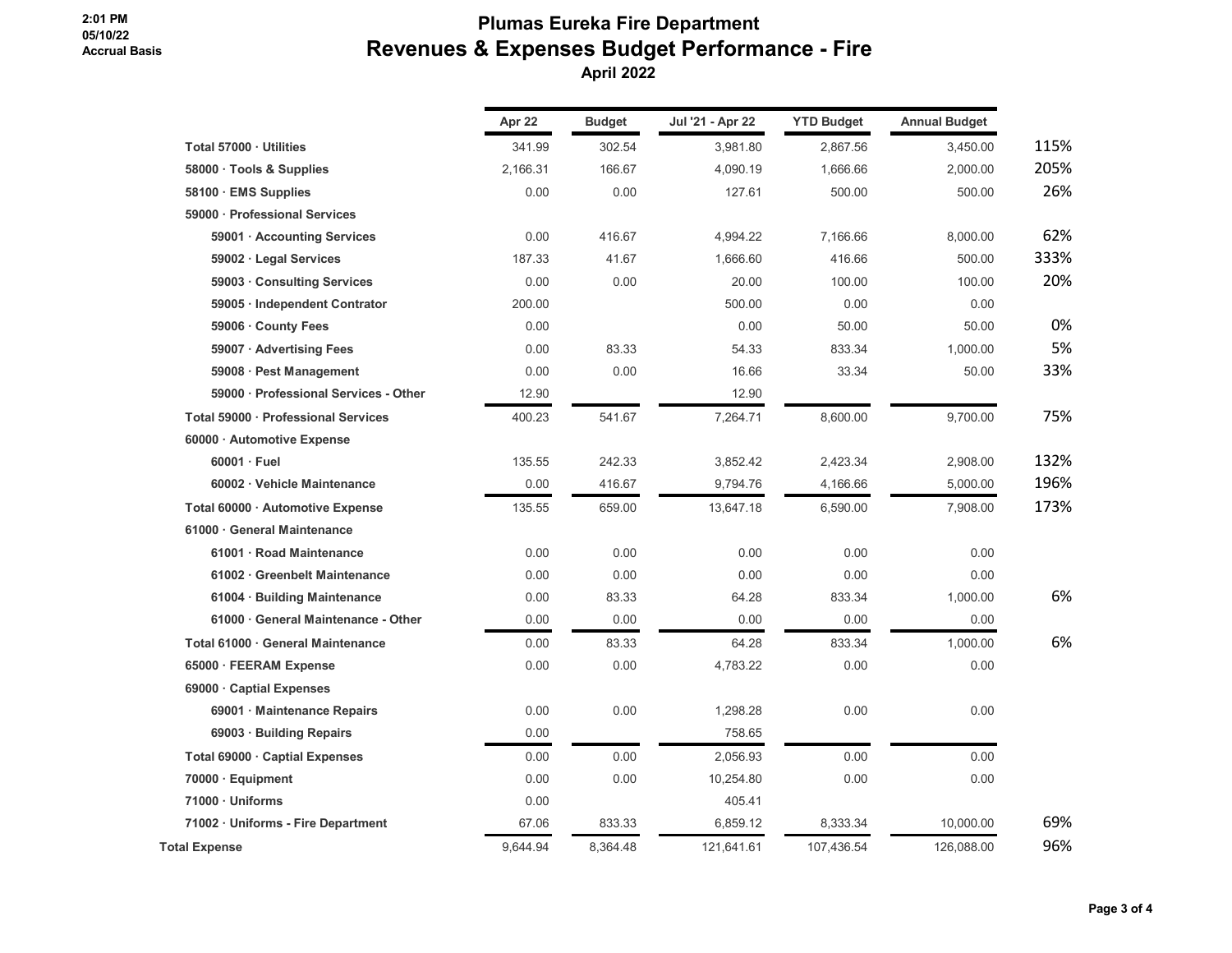# **Plumas Eureka Fire Department Revenues & Expenses Budget Performance - Fire**

|                                       | Apr 22   | <b>Budget</b> | Jul '21 - Apr 22 | <b>YTD Budget</b> | <b>Annual Budget</b> |      |
|---------------------------------------|----------|---------------|------------------|-------------------|----------------------|------|
| Total 57000 · Utilities               | 341.99   | 302.54        | 3,981.80         | 2,867.56          | 3,450.00             | 115% |
| 58000 · Tools & Supplies              | 2,166.31 | 166.67        | 4,090.19         | 1,666.66          | 2,000.00             | 205% |
| 58100 · EMS Supplies                  | 0.00     | 0.00          | 127.61           | 500.00            | 500.00               | 26%  |
| 59000 · Professional Services         |          |               |                  |                   |                      |      |
| 59001 · Accounting Services           | 0.00     | 416.67        | 4,994.22         | 7,166.66          | 8,000.00             | 62%  |
| 59002 · Legal Services                | 187.33   | 41.67         | 1,666.60         | 416.66            | 500.00               | 333% |
| 59003 · Consulting Services           | 0.00     | 0.00          | 20.00            | 100.00            | 100.00               | 20%  |
| 59005 · Independent Contrator         | 200.00   |               | 500.00           | 0.00              | 0.00                 |      |
| 59006 · County Fees                   | 0.00     |               | 0.00             | 50.00             | 50.00                | 0%   |
| 59007 · Advertising Fees              | 0.00     | 83.33         | 54.33            | 833.34            | 1,000.00             | 5%   |
| 59008 · Pest Management               | 0.00     | 0.00          | 16.66            | 33.34             | 50.00                | 33%  |
| 59000 · Professional Services - Other | 12.90    |               | 12.90            |                   |                      |      |
| Total 59000 · Professional Services   | 400.23   | 541.67        | 7,264.71         | 8,600.00          | 9,700.00             | 75%  |
| 60000 · Automotive Expense            |          |               |                  |                   |                      |      |
| $60001 \cdot$ Fuel                    | 135.55   | 242.33        | 3,852.42         | 2,423.34          | 2,908.00             | 132% |
| 60002 · Vehicle Maintenance           | 0.00     | 416.67        | 9,794.76         | 4,166.66          | 5,000.00             | 196% |
| Total 60000 · Automotive Expense      | 135.55   | 659.00        | 13,647.18        | 6,590.00          | 7,908.00             | 173% |
| 61000 General Maintenance             |          |               |                  |                   |                      |      |
| 61001 · Road Maintenance              | 0.00     | 0.00          | 0.00             | 0.00              | 0.00                 |      |
| 61002 Greenbelt Maintenance           | 0.00     | 0.00          | 0.00             | 0.00              | 0.00                 |      |
| 61004 · Building Maintenance          | 0.00     | 83.33         | 64.28            | 833.34            | 1,000.00             | 6%   |
| 61000 · General Maintenance - Other   | 0.00     | 0.00          | 0.00             | 0.00              | 0.00                 |      |
| Total 61000 · General Maintenance     | 0.00     | 83.33         | 64.28            | 833.34            | 1,000.00             | 6%   |
| 65000 · FEERAM Expense                | 0.00     | 0.00          | 4,783.22         | 0.00              | 0.00                 |      |
| 69000 Captial Expenses                |          |               |                  |                   |                      |      |
| 69001 · Maintenance Repairs           | 0.00     | 0.00          | 1,298.28         | 0.00              | 0.00                 |      |
| 69003 · Building Repairs              | 0.00     |               | 758.65           |                   |                      |      |
| Total 69000 · Captial Expenses        | 0.00     | 0.00          | 2,056.93         | 0.00              | 0.00                 |      |
| 70000 · Equipment                     | 0.00     | 0.00          | 10,254.80        | 0.00              | 0.00                 |      |
| 71000 · Uniforms                      | 0.00     |               | 405.41           |                   |                      |      |
| 71002 · Uniforms - Fire Department    | 67.06    | 833.33        | 6,859.12         | 8,333.34          | 10,000.00            | 69%  |
| Total Expense                         | 9,644.94 | 8,364.48      | 121,641.61       | 107,436.54        | 126,088.00           | 96%  |